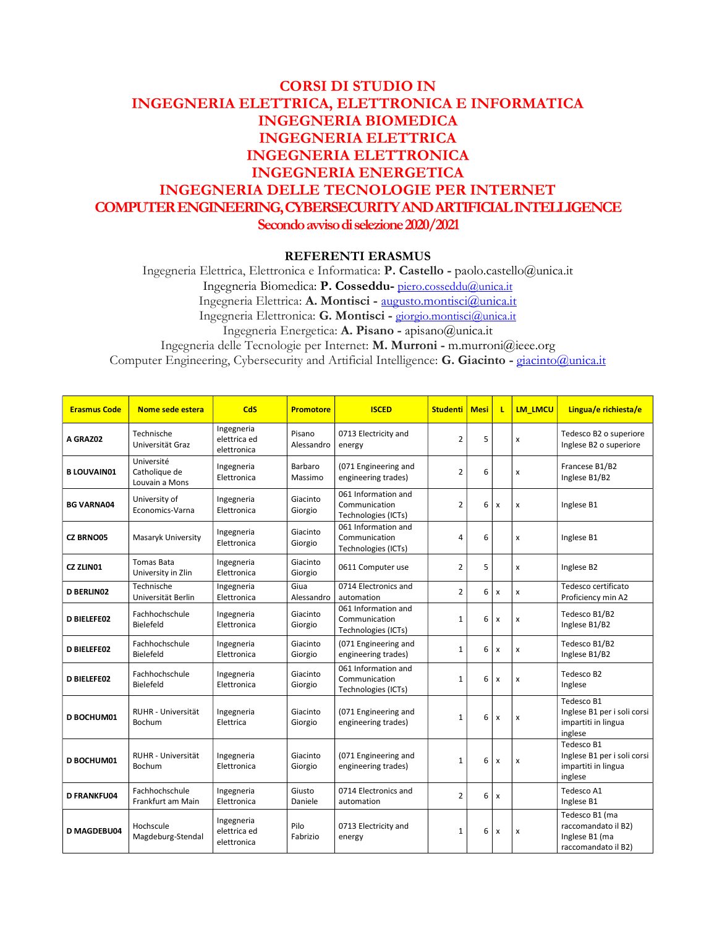## CORSI DI STUDIO IN INGEGNERIA ELETTRICA, ELETTRONICA E INFORMATICA INGEGNERIA BIOMEDICA INGEGNERIA ELETTRICA INGEGNERIA ELETTRONICA INGEGNERIA ENERGETICA INGEGNERIA DELLE TECNOLOGIE PER INTERNET COMPUTER ENGINEERING, CYBERSECURITY AND ARTIFICIAL INTELLIGENCE Secondo avviso di selezione 2020/2021

## REFERENTI ERASMUS

Ingegneria Elettrica, Elettronica e Informatica: P. Castello - paolo.castello@unica.it Ingegneria Biomedica: P. Cosseddu- piero.cosseddu@unica.it Ingegneria Elettrica: A. Montisci - augusto.montisci@unica.it Ingegneria Elettronica: G. Montisci - giorgio.montisci@unica.it Ingegneria Energetica: A. Pisano - apisano@unica.it Ingegneria delle Tecnologie per Internet: M. Murroni - m.murroni@ieee.org Computer Engineering, Cybersecurity and Artificial Intelligence: G. Giacinto - giacinto@unica.it

| <b>Erasmus Code</b> | Nome sede estera                              | CdS                                       | <b>Promotore</b>     | <b>ISCED</b>                                                | <b>Studenti</b> | <b>Mesi</b> | п                         | <b>LM LMCU</b> | Lingua/e richiesta/e                                                           |
|---------------------|-----------------------------------------------|-------------------------------------------|----------------------|-------------------------------------------------------------|-----------------|-------------|---------------------------|----------------|--------------------------------------------------------------------------------|
| A GRAZ02            | Technische<br>Universität Graz                | Ingegneria<br>elettrica ed<br>elettronica | Pisano<br>Alessandro | 0713 Electricity and<br>energy                              | $\overline{2}$  | 5           |                           | x              | Tedesco B2 o superiore<br>Inglese B2 o superiore                               |
| <b>B LOUVAIN01</b>  | Université<br>Catholique de<br>Louvain a Mons | Ingegneria<br>Elettronica                 | Barbaro<br>Massimo   | (071 Engineering and<br>engineering trades)                 | $\overline{2}$  | 6           |                           | x              | Francese B1/B2<br>Inglese B1/B2                                                |
| <b>BG VARNA04</b>   | University of<br>Economics-Varna              | Ingegneria<br>Elettronica                 | Giacinto<br>Giorgio  | 061 Information and<br>Communication<br>Technologies (ICTs) | $\overline{2}$  | 6           | x                         | x              | Inglese B1                                                                     |
| <b>CZ BRNO05</b>    | Masaryk University                            | Ingegneria<br>Elettronica                 | Giacinto<br>Giorgio  | 061 Information and<br>Communication<br>Technologies (ICTs) | 4               | 6           |                           | x              | Inglese B1                                                                     |
| <b>CZ ZLINO1</b>    | <b>Tomas Bata</b><br>University in Zlin       | Ingegneria<br>Elettronica                 | Giacinto<br>Giorgio  | 0611 Computer use                                           | $\overline{2}$  | 5           |                           | x              | Inglese B2                                                                     |
| <b>D BERLINO2</b>   | Technische<br>Universität Berlin              | Ingegneria<br>Elettronica                 | Giua<br>Alessandro   | 0714 Electronics and<br>automation                          | $\overline{2}$  | 6           | x                         | x              | Tedesco certificato<br>Proficiency min A2                                      |
| <b>D BIELEFE02</b>  | Fachhochschule<br>Bielefeld                   | Ingegneria<br>Elettronica                 | Giacinto<br>Giorgio  | 061 Information and<br>Communication<br>Technologies (ICTs) | $\mathbf 1$     | 6           | x                         | x              | Tedesco B1/B2<br>Inglese B1/B2                                                 |
| <b>D BIELEFE02</b>  | Fachhochschule<br>Bielefeld                   | Ingegneria<br>Elettronica                 | Giacinto<br>Giorgio  | (071 Engineering and<br>engineering trades)                 | $\mathbf{1}$    | 6           | $\boldsymbol{\mathsf{x}}$ | x              | Tedesco B1/B2<br>Inglese B1/B2                                                 |
| <b>D BIELEFE02</b>  | Fachhochschule<br>Bielefeld                   | Ingegneria<br>Elettronica                 | Giacinto<br>Giorgio  | 061 Information and<br>Communication<br>Technologies (ICTs) | $\mathbf{1}$    | 6           | x                         | x              | Tedesco B2<br>Inglese                                                          |
| D BOCHUM01          | RUHR - Universität<br>Bochum                  | Ingegneria<br>Elettrica                   | Giacinto<br>Giorgio  | (071 Engineering and<br>engineering trades)                 | $\mathbf{1}$    | 6           | $\mathsf{x}$              | x              | Tedesco B1<br>Inglese B1 per i soli corsi<br>impartiti in lingua<br>inglese    |
| D BOCHUM01          | RUHR - Universität<br>Bochum                  | Ingegneria<br>Elettronica                 | Giacinto<br>Giorgio  | (071 Engineering and<br>engineering trades)                 | $\mathbf{1}$    | 6           | $\boldsymbol{\mathsf{x}}$ | x              | Tedesco B1<br>Inglese B1 per i soli corsi<br>impartiti in lingua<br>inglese    |
| <b>D FRANKFU04</b>  | Fachhochschule<br>Frankfurt am Main           | Ingegneria<br>Elettronica                 | Giusto<br>Daniele    | 0714 Electronics and<br>automation                          | $\overline{2}$  | 6           | x                         |                | Tedesco A1<br>Inglese B1                                                       |
| <b>D MAGDEBU04</b>  | Hochscule<br>Magdeburg-Stendal                | Ingegneria<br>elettrica ed<br>elettronica | Pilo<br>Fabrizio     | 0713 Electricity and<br>energy                              | $\mathbf 1$     | 6           | $\pmb{\mathsf{x}}$        | X              | Tedesco B1 (ma<br>raccomandato il B2)<br>Inglese B1 (ma<br>raccomandato il B2) |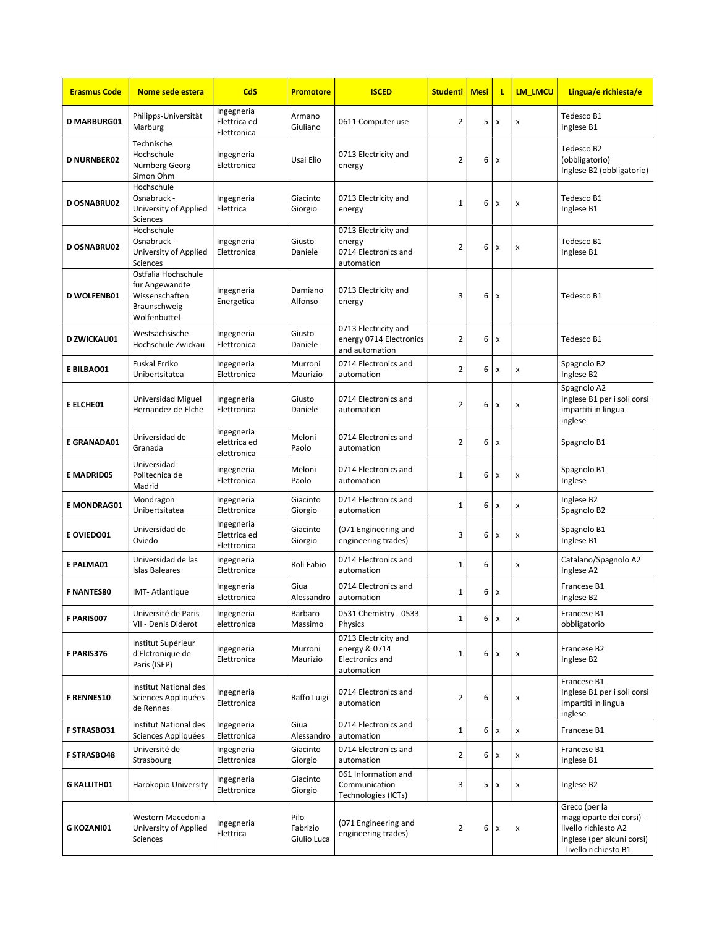| <b>Erasmus Code</b> | Nome sede estera                                                                        | CdS                                       | <b>Promotore</b>                | <b>ISCED</b>                                                                  | <b>Studenti</b> | <b>Mesi</b> | L                  | <b>LM LMCU</b>     | Lingua/e richiesta/e                                                                                                      |
|---------------------|-----------------------------------------------------------------------------------------|-------------------------------------------|---------------------------------|-------------------------------------------------------------------------------|-----------------|-------------|--------------------|--------------------|---------------------------------------------------------------------------------------------------------------------------|
| <b>D MARBURG01</b>  | Philipps-Universität<br>Marburg                                                         | Ingegneria<br>Elettrica ed<br>Elettronica | Armano<br>Giuliano              | 0611 Computer use                                                             | $\overline{2}$  | 5           | X                  | x                  | Tedesco B1<br>Inglese B1                                                                                                  |
| <b>D NURNBER02</b>  | Technische<br>Hochschule<br>Nürnberg Georg<br>Simon Ohm                                 | Ingegneria<br>Elettronica                 | Usai Elio                       | 0713 Electricity and<br>energy                                                | $\overline{2}$  | 6           | $\pmb{\mathsf{x}}$ |                    | Tedesco B2<br>(obbligatorio)<br>Inglese B2 (obbligatorio)                                                                 |
| <b>D OSNABRU02</b>  | Hochschule<br>Osnabruck -<br>University of Applied<br>Sciences                          | Ingegneria<br>Elettrica                   | Giacinto<br>Giorgio             | 0713 Electricity and<br>energy                                                | $\mathbf 1$     | 6           | $\pmb{\mathsf{x}}$ | x                  | Tedesco B1<br>Inglese B1                                                                                                  |
| <b>D OSNABRU02</b>  | Hochschule<br>Osnabruck -<br>University of Applied<br>Sciences                          | Ingegneria<br>Elettronica                 | Giusto<br>Daniele               | 0713 Electricity and<br>energy<br>0714 Electronics and<br>automation          | $\overline{2}$  | 6           | X                  | x                  | Tedesco B1<br>Inglese B1                                                                                                  |
| <b>D WOLFENB01</b>  | Ostfalia Hochschule<br>für Angewandte<br>Wissenschaften<br>Braunschweig<br>Wolfenbuttel | Ingegneria<br>Energetica                  | Damiano<br>Alfonso              | 0713 Electricity and<br>energy                                                | 3               | 6           | X                  |                    | Tedesco B1                                                                                                                |
| <b>D ZWICKAU01</b>  | Westsächsische<br>Hochschule Zwickau                                                    | Ingegneria<br>Elettronica                 | Giusto<br>Daniele               | 0713 Electricity and<br>energy 0714 Electronics<br>and automation             | $\overline{2}$  | 6           | X                  |                    | Tedesco B1                                                                                                                |
| E BILBAO01          | Euskal Erriko<br>Unibertsitatea                                                         | Ingegneria<br>Elettronica                 | Murroni<br>Maurizio             | 0714 Electronics and<br>automation                                            | $\overline{2}$  | 6           | X                  | x                  | Spagnolo B2<br>Inglese B2                                                                                                 |
| E ELCHE01           | Universidad Miguel<br>Hernandez de Elche                                                | Ingegneria<br>Elettronica                 | Giusto<br>Daniele               | 0714 Electronics and<br>automation                                            | $\overline{2}$  | 6           | X                  | x                  | Spagnolo A2<br>Inglese B1 per i soli corsi<br>impartiti in lingua<br>inglese                                              |
| E GRANADA01         | Universidad de<br>Granada                                                               | Ingegneria<br>elettrica ed<br>elettronica | Meloni<br>Paolo                 | 0714 Electronics and<br>automation                                            | $\overline{2}$  | 6           | x                  |                    | Spagnolo B1                                                                                                               |
| E MADRID05          | Universidad<br>Politecnica de<br>Madrid                                                 | Ingegneria<br>Elettronica                 | Meloni<br>Paolo                 | 0714 Electronics and<br>automation                                            | $\mathbf{1}$    | 6           | $\pmb{\mathsf{x}}$ | x                  | Spagnolo B1<br>Inglese                                                                                                    |
| <b>E MONDRAG01</b>  | Mondragon<br>Unibertsitatea                                                             | Ingegneria<br>Elettronica                 | Giacinto<br>Giorgio             | 0714 Electronics and<br>automation                                            | $\mathbf 1$     | 6           | X                  | x                  | Inglese B2<br>Spagnolo B2                                                                                                 |
| E OVIEDO01          | Universidad de<br>Oviedo                                                                | Ingegneria<br>Elettrica ed<br>Elettronica | Giacinto<br>Giorgio             | (071 Engineering and<br>engineering trades)                                   | 3               | 6           | x                  | x                  | Spagnolo B1<br>Inglese B1                                                                                                 |
| E PALMA01           | Universidad de las<br><b>Islas Baleares</b>                                             | Ingegneria<br>Elettronica                 | Roli Fabio                      | 0714 Electronics and<br>automation                                            | $\mathbf{1}$    | 6           |                    | x                  | Catalano/Spagnolo A2<br>Inglese A2                                                                                        |
| <b>F NANTES80</b>   | IMT-Atlantique                                                                          | Ingegneria<br>Elettronica                 | Giua<br>Alessandro              | 0714 Electronics and<br>automation                                            | $\mathbf{1}$    | 6           | x                  |                    | Francese B1<br>Inglese B2                                                                                                 |
| F PARIS007          | Université de Paris<br>VII - Denis Diderot                                              | Ingegneria<br>elettronica                 | Barbaro<br>Massimo              | 0531 Chemistry - 0533<br>Physics                                              | $\mathbf{1}$    | 6           | $\pmb{\times}$     | x                  | Francese B1<br>obbligatorio                                                                                               |
| F PARIS376          | Institut Supérieur<br>d'Elctronique de<br>Paris (ISEP)                                  | Ingegneria<br>Elettronica                 | Murroni<br>Maurizio             | 0713 Electricity and<br>energy & 0714<br><b>Electronics and</b><br>automation | 1               | 6           | X                  | x                  | Francese B2<br>Inglese B2                                                                                                 |
| <b>F RENNES10</b>   | Institut National des<br>Sciences Appliquées<br>de Rennes                               | Ingegneria<br>Elettronica                 | Raffo Luigi                     | 0714 Electronics and<br>automation                                            | $\overline{2}$  | 6           |                    | x                  | Francese B1<br>Inglese B1 per i soli corsi<br>impartiti in lingua<br>inglese                                              |
| <b>F STRASBO31</b>  | Institut National des<br>Sciences Appliquées                                            | Ingegneria<br>Elettronica                 | Giua<br>Alessandro              | 0714 Electronics and<br>automation                                            | $\mathbf 1$     | 6           | $\pmb{\mathsf{x}}$ | x                  | Francese B1                                                                                                               |
| <b>F STRASBO48</b>  | Université de<br>Strasbourg                                                             | Ingegneria<br>Elettronica                 | Giacinto<br>Giorgio             | 0714 Electronics and<br>automation                                            | $\overline{2}$  | 6           | $\pmb{\mathsf{x}}$ | x                  | Francese B1<br>Inglese B1                                                                                                 |
| <b>G KALLITH01</b>  | Harokopio University                                                                    | Ingegneria<br>Elettronica                 | Giacinto<br>Giorgio             | 061 Information and<br>Communication<br>Technologies (ICTs)                   | 3               | 5           | $\pmb{\mathsf{x}}$ | x                  | Inglese B2                                                                                                                |
| <b>G KOZANI01</b>   | Western Macedonia<br>University of Applied<br>Sciences                                  | Ingegneria<br>Elettrica                   | Pilo<br>Fabrizio<br>Giulio Luca | (071 Engineering and<br>engineering trades)                                   | $\overline{2}$  | 6           | $\pmb{\mathsf{x}}$ | $\pmb{\mathsf{x}}$ | Greco (per la<br>maggioparte dei corsi) -<br>livello richiesto A2<br>Inglese (per alcuni corsi)<br>- livello richiesto B1 |